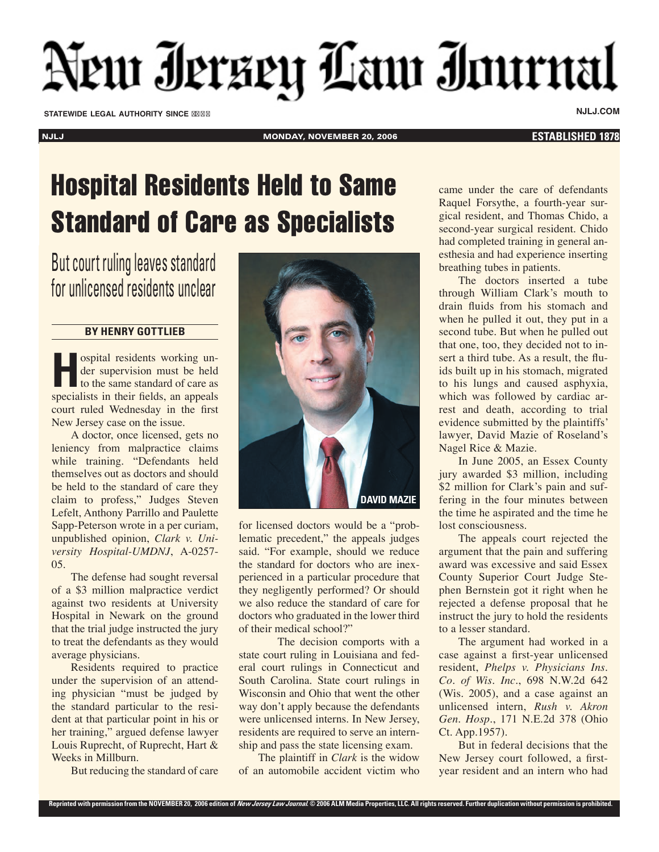## New Ierzey Law Inurnal

**STATEWIDE LEGAL AUTHORITY SINCE NJLJ.COM**

NJLJ MONDAY, NOVEMBER 20, 2006 **ESTABLISHED 1878**

## Hospital Residents Held to Same Standard of Care as Specialists

But court ruling leaves standard for unlicensed residents unclear

## **BY HENRY GOTTLIEB**

**H**ospital residents working under supervision must be held to the same standard of care as specialists in their fields, an appeals court ruled Wednesday in the first New Jersey case on the issue.

A doctor, once licensed, gets no leniency from malpractice claims while training. "Defendants held themselves out as doctors and should be held to the standard of care they claim to profess," Judges Steven Lefelt, Anthony Parrillo and Paulette Sapp-Peterson wrote in a per curiam, unpublished opinion, *Clark v. University Hospital-UMDNJ*, A-0257- 05.

The defense had sought reversal of a \$3 million malpractice verdict against two residents at University Hospital in Newark on the ground that the trial judge instructed the jury to treat the defendants as they would average physicians.

Residents required to practice under the supervision of an attending physician "must be judged by the standard particular to the resident at that particular point in his or her training," argued defense lawyer Louis Ruprecht, of Ruprecht, Hart & Weeks in Millburn.

But reducing the standard of care



for licensed doctors would be a "problematic precedent," the appeals judges said. "For example, should we reduce the standard for doctors who are inexperienced in a particular procedure that they negligently performed? Or should we also reduce the standard of care for doctors who graduated in the lower third of their medical school?"

The decision comports with a state court ruling in Louisiana and federal court rulings in Connecticut and South Carolina. State court rulings in Wisconsin and Ohio that went the other way don't apply because the defendants were unlicensed interns. In New Jersey, residents are required to serve an internship and pass the state licensing exam.

The plaintiff in *Clark* is the widow of an automobile accident victim who came under the care of defendants Raquel Forsythe, a fourth-year surgical resident, and Thomas Chido, a second-year surgical resident. Chido had completed training in general anesthesia and had experience inserting breathing tubes in patients.

The doctors inserted a tube through William Clark's mouth to drain fluids from his stomach and when he pulled it out, they put in a second tube. But when he pulled out that one, too, they decided not to insert a third tube. As a result, the fluids built up in his stomach, migrated to his lungs and caused asphyxia, which was followed by cardiac arrest and death, according to trial evidence submitted by the plaintiffs' lawyer, David Mazie of Roseland's Nagel Rice & Mazie.

In June 2005, an Essex County jury awarded \$3 million, including \$2 million for Clark's pain and suffering in the four minutes between the time he aspirated and the time he lost consciousness.

The appeals court rejected the argument that the pain and suffering award was excessive and said Essex County Superior Court Judge Stephen Bernstein got it right when he rejected a defense proposal that he instruct the jury to hold the residents to a lesser standard.

The argument had worked in a case against a first-year unlicensed resident, *Phelps v. Physicians Ins. Co. of Wis. Inc*., 698 N.W.2d 642 (Wis. 2005), and a case against an unlicensed intern, *Rush v. Akron Gen. Hosp*., 171 N.E.2d 378 (Ohio Ct. App.1957).

But in federal decisions that the New Jersey court followed, a firstyear resident and an intern who had